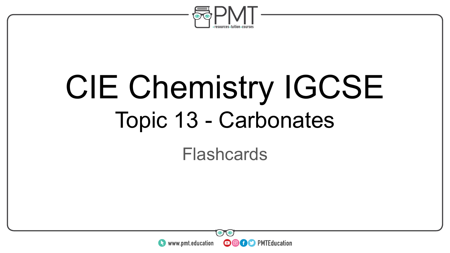

# CIE Chemistry IGCSE Topic 13 - Carbonates

#### Flashcards

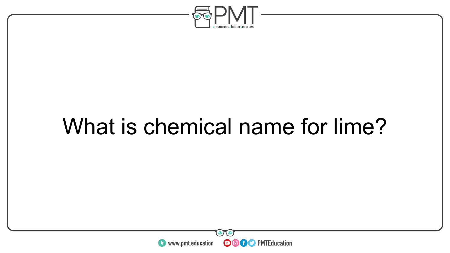

### What is chemical name for lime?

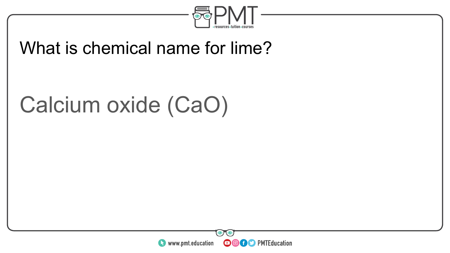

#### What is chemical name for lime?

### Calcium oxide (CaO)

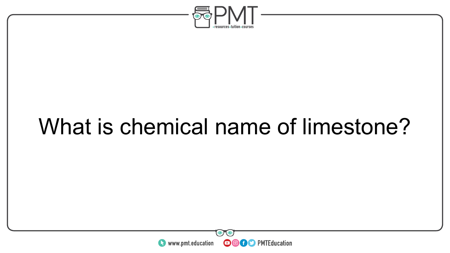

### What is chemical name of limestone?

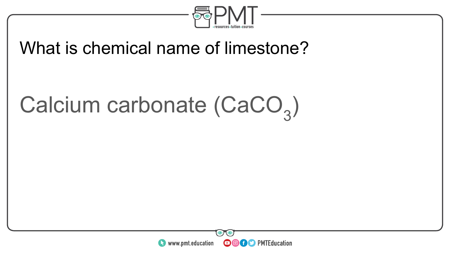

#### What is chemical name of limestone?

# Calcium carbonate (CaCO<sub>3</sub>)

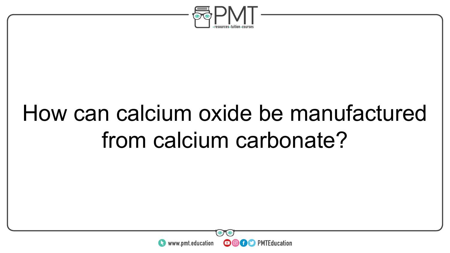

# How can calcium oxide be manufactured from calcium carbonate?

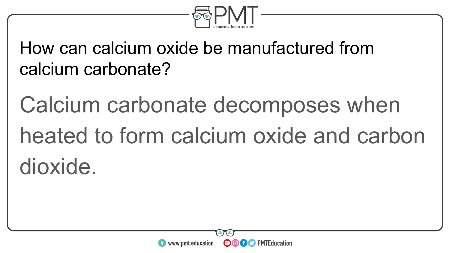

How can calcium oxide be manufactured from calcium carbonate?

Calcium carbonate decomposes when heated to form calcium oxide and carbon dioxide.

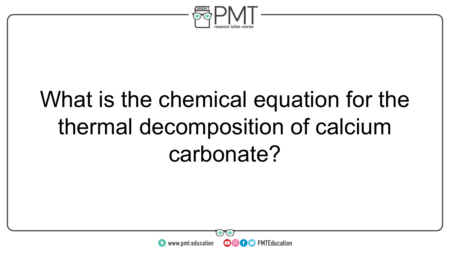

# What is the chemical equation for the thermal decomposition of calcium carbonate?

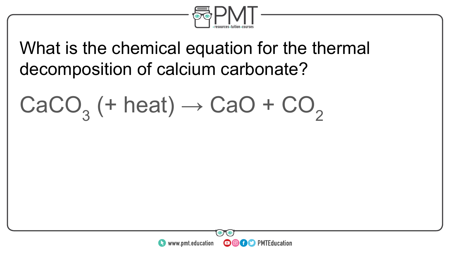

#### What is the chemical equation for the thermal decomposition of calcium carbonate?

 $\text{CaCO}_3^+$  (+ heat)  $\rightarrow$  CaO + CO<sub>2</sub>

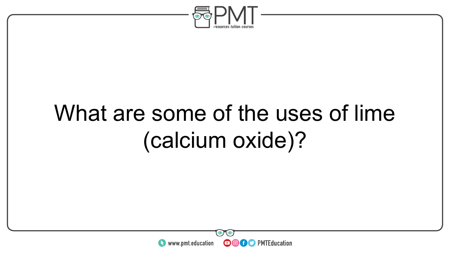

## What are some of the uses of lime (calcium oxide)?

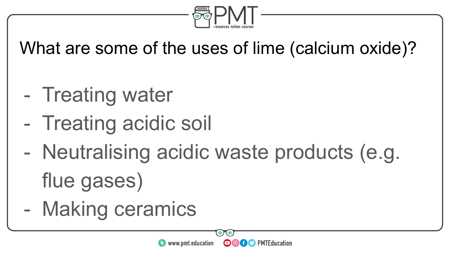

What are some of the uses of lime (calcium oxide)?

- Treating water
- Treating acidic soil
- Neutralising acidic waste products (e.g. flue gases)

**OOOO** PMTEducation

www.pmt.education

- Making ceramics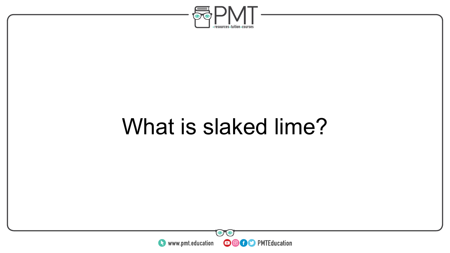

### What is slaked lime?

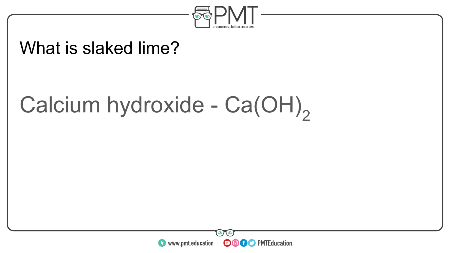

#### What is slaked lime?

# Calcium hydroxide - Ca(OH)<sub>2</sub>

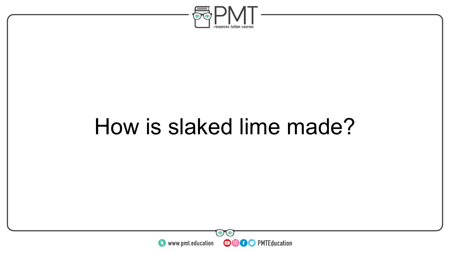

### How is slaked lime made?

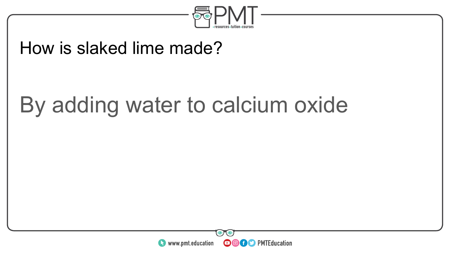

#### How is slaked lime made?

### By adding water to calcium oxide

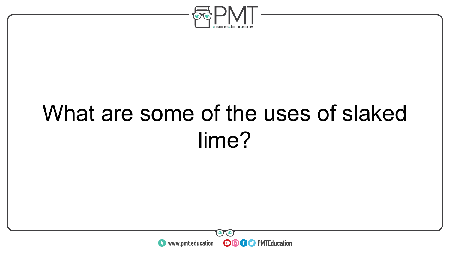

# What are some of the uses of slaked lime?

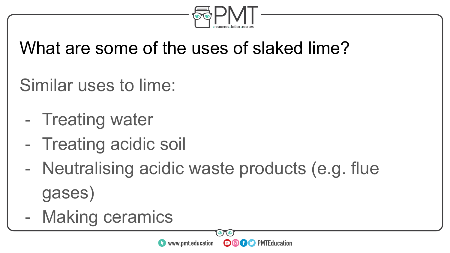

### What are some of the uses of slaked lime?

Similar uses to lime:

- Treating water
- Treating acidic soil
- Neutralising acidic waste products (e.g. flue gases)
- Making ceramics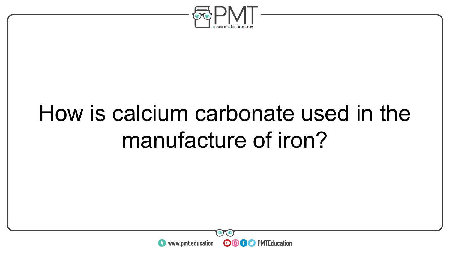

# How is calcium carbonate used in the manufacture of iron?

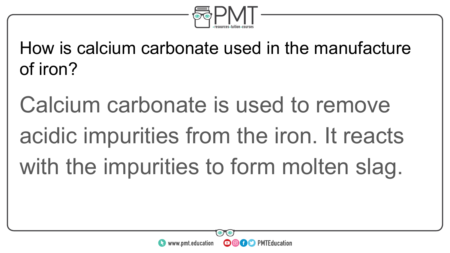

How is calcium carbonate used in the manufacture of iron?

Calcium carbonate is used to remove acidic impurities from the iron. It reacts with the impurities to form molten slag.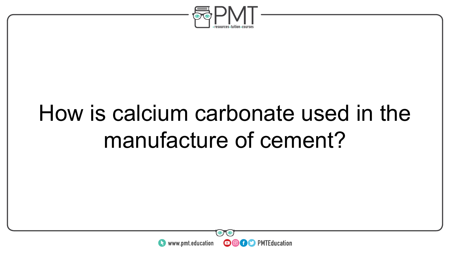

# How is calcium carbonate used in the manufacture of cement?